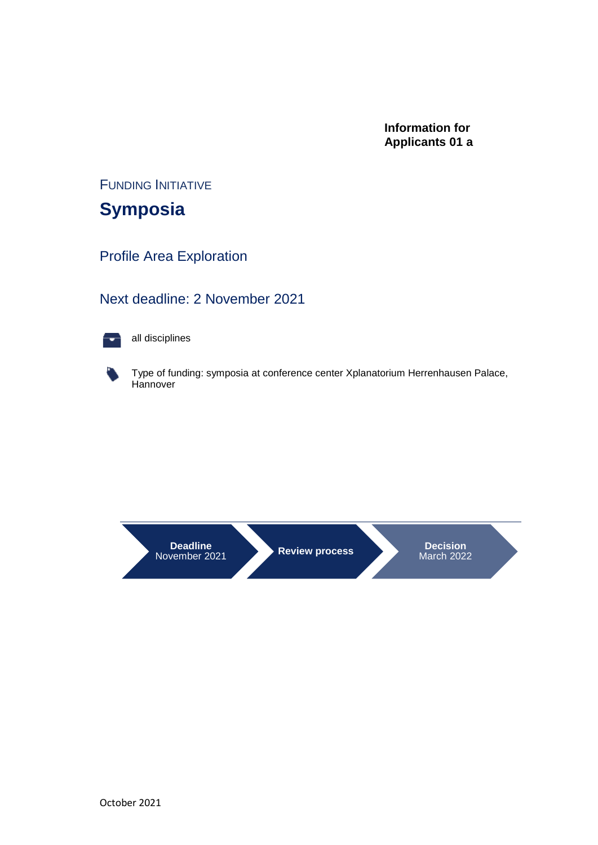### **Information for Applicants 01 a**

FUNDING INITIATIVE

**Symposia**

Profile Area Exploration

## Next deadline: 2 November 2021



all disciplines



Type of funding: symposia at conference center Xplanatorium Herrenhausen Palace, **Hannover** 

**Deadline**<br>November 2021

**Review process Decision** March 2022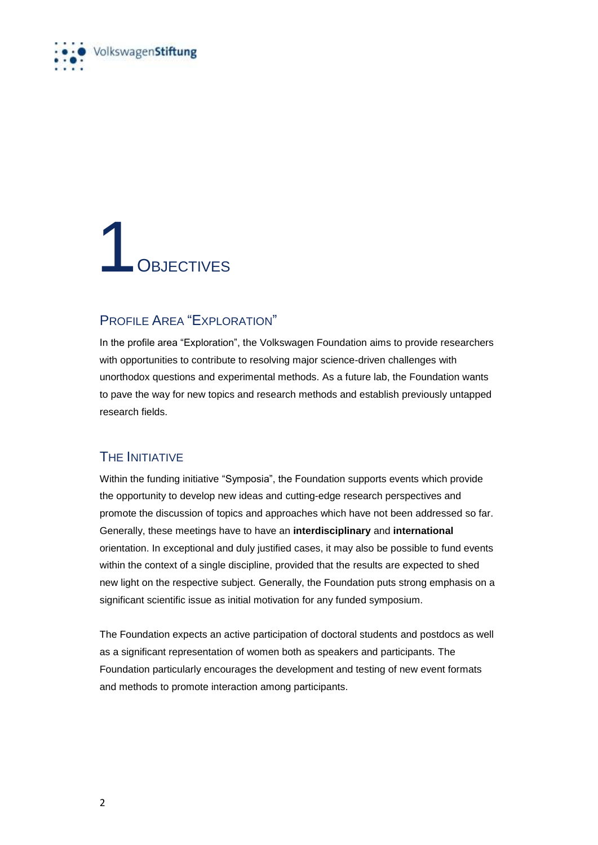

## 1 OBJECTIVES

### PROFILE AREA "EXPLORATION"

In the profile area "Exploration", the Volkswagen Foundation aims to provide researchers with opportunities to contribute to resolving major science-driven challenges with unorthodox questions and experimental methods. As a future lab, the Foundation wants to pave the way for new topics and research methods and establish previously untapped research fields.

### THE INITIATIVE

Within the funding initiative "Symposia", the Foundation supports events which provide the opportunity to develop new ideas and cutting-edge research perspectives and promote the discussion of topics and approaches which have not been addressed so far. Generally, these meetings have to have an **interdisciplinary** and **international** orientation. In exceptional and duly justified cases, it may also be possible to fund events within the context of a single discipline, provided that the results are expected to shed new light on the respective subject. Generally, the Foundation puts strong emphasis on a significant scientific issue as initial motivation for any funded symposium.

The Foundation expects an active participation of doctoral students and postdocs as well as a significant representation of women both as speakers and participants. The Foundation particularly encourages the development and testing of new event formats and methods to promote interaction among participants.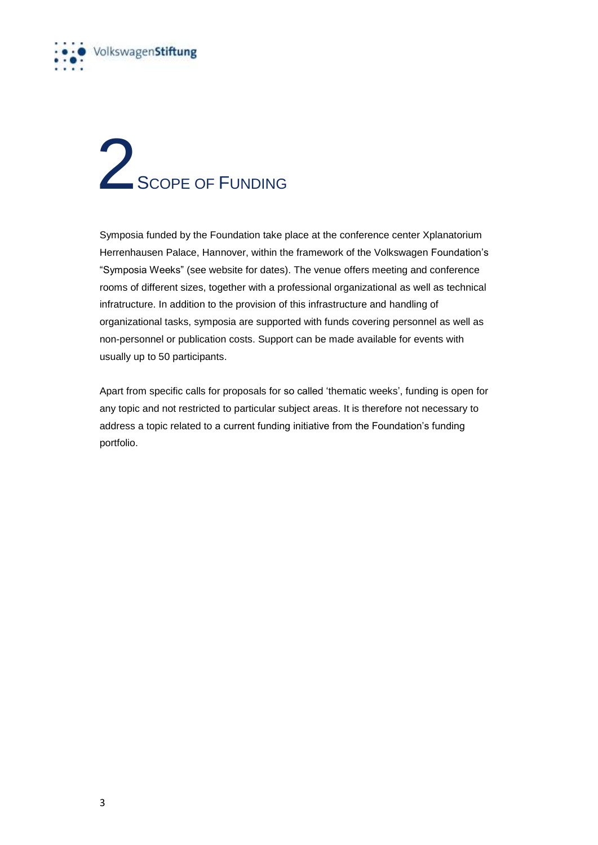

## 2<br>SCOPE OF FUNDING

Symposia funded by the Foundation take place at the conference center Xplanatorium Herrenhausen Palace, Hannover, within the framework of the Volkswagen Foundation's "Symposia Weeks" (see website for dates). The venue offers meeting and conference rooms of different sizes, together with a professional organizational as well as technical infratructure. In addition to the provision of this infrastructure and handling of organizational tasks, symposia are supported with funds covering personnel as well as non-personnel or publication costs. Support can be made available for events with usually up to 50 participants.

Apart from specific calls for proposals for so called 'thematic weeks', funding is open for any topic and not restricted to particular subject areas. It is therefore not necessary to address a topic related to a current funding initiative from the Foundation's funding portfolio.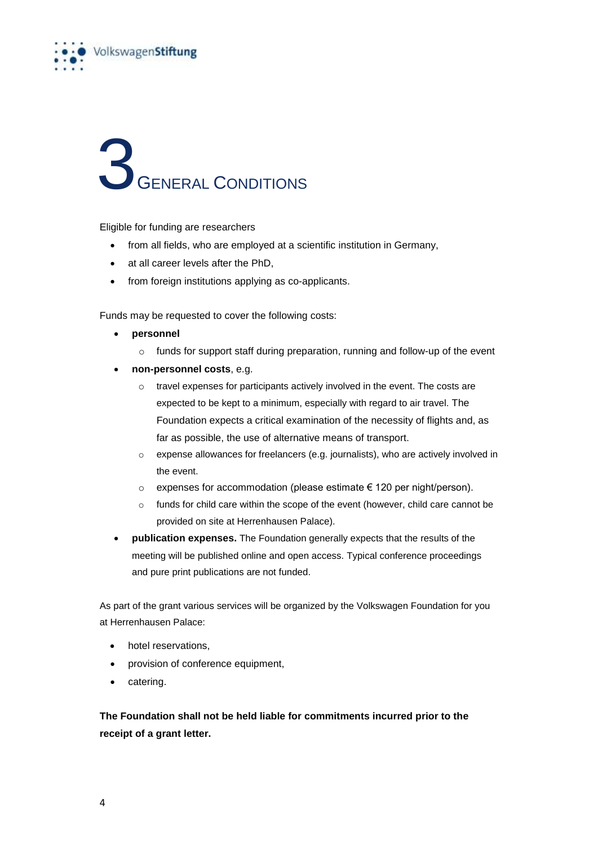

# 3 GENERAL CONDITIONS

Eligible for funding are researchers

- from all fields, who are employed at a scientific institution in Germany,
- at all career levels after the PhD.
- from foreign institutions applying as co-applicants.

Funds may be requested to cover the following costs:

- **personnel**
	- o funds for support staff during preparation, running and follow-up of the event
- **non-personnel costs**, e.g.
	- o travel expenses for participants actively involved in the event. The costs are expected to be kept to a minimum, especially with regard to air travel. The Foundation expects a critical examination of the necessity of flights and, as far as possible, the use of alternative means of transport.
	- o expense allowances for freelancers (e.g. journalists), who are actively involved in the event.
	- o expenses for accommodation (please estimate € 120 per night/person).
	- o funds for child care within the scope of the event (however, child care cannot be provided on site at Herrenhausen Palace).
- **publication expenses.** The Foundation generally expects that the results of the meeting will be published online and open access. Typical conference proceedings and pure print publications are not funded.

As part of the grant various services will be organized by the Volkswagen Foundation for you at Herrenhausen Palace:

- hotel reservations,
- provision of conference equipment,
- catering.

**The Foundation shall not be held liable for commitments incurred prior to the receipt of a grant letter.**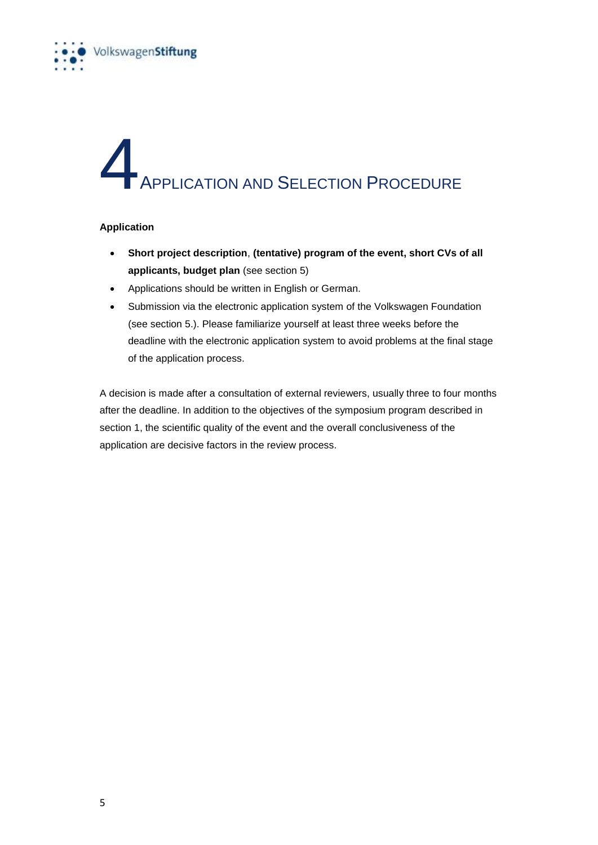

## **4**<br>Triangle Application and Selection Procedure

### **Application**

- **Short project description**, **(tentative) program of the event, short CVs of all applicants, budget plan** (see section 5)
- Applications should be written in English or German.
- Submission via the electronic application system of the Volkswagen Foundation (see section 5.). Please familiarize yourself at least three weeks before the deadline with the electronic application system to avoid problems at the final stage of the application process.

A decision is made after a consultation of external reviewers, usually three to four months after the deadline. In addition to the objectives of the symposium program described in section 1, the scientific quality of the event and the overall conclusiveness of the application are decisive factors in the review process.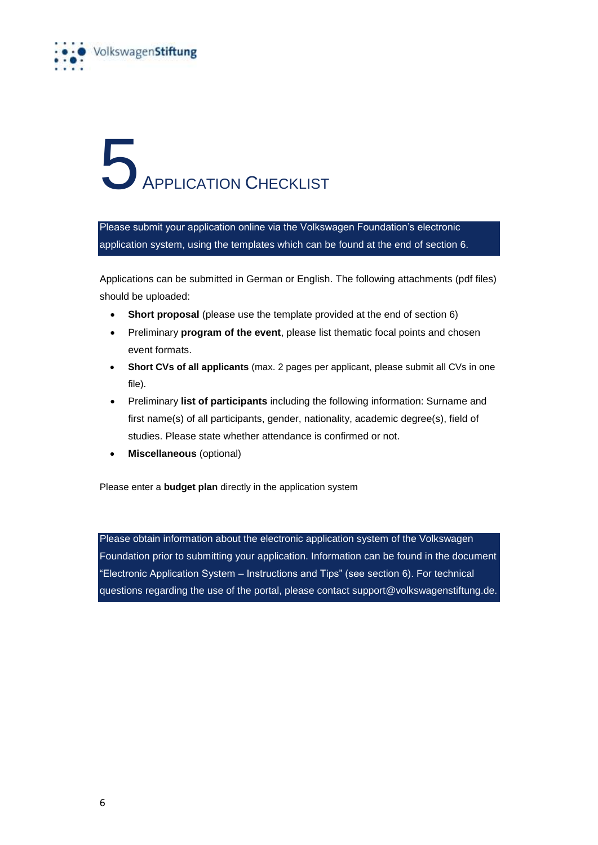

# **5**<br>APPLICATION CHECKLIST

Please submit your application online via the Volkswagen Foundation's electronic application system, using the templates which can be found at the end of section 6.

Applications can be submitted in German or English. The following attachments (pdf files) should be uploaded:

- **Short proposal** (please use the template provided at the end of section 6)
- Preliminary **program of the event**, please list thematic focal points and chosen event formats.
- **Short CVs of all applicants** (max. 2 pages per applicant, please submit all CVs in one file).
- Preliminary **list of participants** including the following information: Surname and first name(s) of all participants, gender, nationality, academic degree(s), field of studies. Please state whether attendance is confirmed or not.
- **Miscellaneous** (optional)

Please enter a **budget plan** directly in the application system

Please obtain information about the electronic application system of the Volkswagen Foundation prior to submitting your application. Information can be found in the document "Electronic Application System – Instructions and Tips" (see section 6). For technical questions regarding the use of the portal, please contact support@volkswagenstiftung.de.